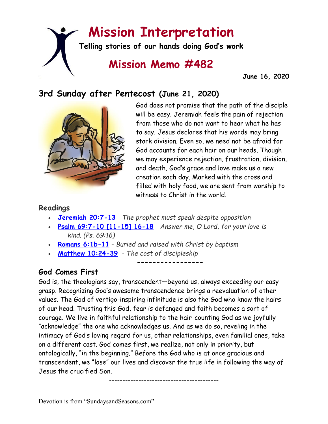# **Mission Interpretation**

**Telling stories of our hands doing God's work**

# **Mission Memo #482**

 **June 16, 2020**

## **3rd Sunday after Pentecost (June 21, 2020)**



God does not promise that the path of the disciple will be easy. Jeremiah feels the pain of rejection from those who do not want to hear what he has to say. Jesus declares that his words may bring stark division. Even so, we need not be afraid for God accounts for each hair on our heads. Though we may experience rejection, frustration, division, and death, God's grace and love make us a new creation each day. Marked with the cross and filled with holy food, we are sent from worship to witness to Christ in the world.

#### **Readings**

- **[Jeremiah 20:7-13](https://members.sundaysandseasons.com/)** *The prophet must speak despite opposition*
- **[Psalm 69:7-10 \[11-15\] 16-18](https://members.sundaysandseasons.com/)** *Answer me, O Lord, for your love is kind. (Ps. 69:16)*

**-----------------**

- **[Romans 6:1b-11](https://members.sundaysandseasons.com/)** *Buried and raised with Christ by baptism*
- **[Matthew 10:24-39](https://members.sundaysandseasons.com/)** *The cost of discipleship*

### **God Comes First**

God is, the theologians say, transcendent—beyond us, always exceeding our easy grasp. Recognizing God's awesome transcendence brings a reevaluation of other values. The God of vertigo-inspiring infinitude is also the God who know the hairs of our head. Trusting this God, fear is defanged and faith becomes a sort of courage. We live in faithful relationship to the hair-counting God as we joyfully "acknowledge" the one who acknowledges us. And as we do so, reveling in the intimacy of God's loving regard for us, other relationships, even familial ones, take on a different cast. God comes first, we realize, not only in priority, but ontologically, "in the beginning." Before the God who is at once gracious and transcendent, we "lose" our lives and discover the true life in following the way of Jesus the crucified Son.

-----------------------------------------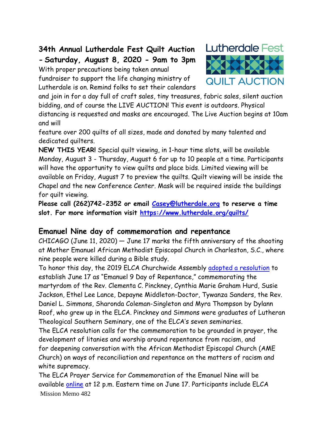# **34th Annual Lutherdale Fest Quilt Auction - Saturday, August 8, 2020 - 9am to 3pm**

With proper precautions being taken annual

fundraiser to support the life changing ministry of Lutherdale is on. Remind folks to set their calendars



and join in for a day full of craft sales, tiny treasures, fabric sales, silent auction bidding, and of course the LIVE AUCTION! This event is outdoors. Physical distancing is requested and masks are encouraged. The Live Auction begins at 10am and will

feature over 200 quilts of all sizes, made and donated by many talented and dedicated quilters.

**NEW THIS YEAR!** Special quilt viewing, in 1-hour time slots, will be available Monday, August 3 - Thursday, August 6 for up to 10 people at a time. Participants will have the opportunity to view quilts and place bids. Limited viewing will be available on Friday, August 7 to preview the quilts. Quilt viewing will be inside the Chapel and the new Conference Center. Mask will be required inside the buildings for quilt viewing.

**Please call (262)742-2352 or email [Casey@lutherdale.org](javascript:;) to reserve a time slot. For more information visit<https://www.lutherdale.org/quilts/>**

#### **Emanuel Nine day of commemoration and repentance**

CHICAGO (June 11, 2020) — June 17 marks the fifth anniversary of the shooting at Mother Emanuel African Methodist Episcopal Church in Charleston, S.C., where nine people were killed during a Bible study.

To honor this day, the 2019 ELCA Churchwide Assembly [adopted a resolution](https://download.elca.org/ELCA%20Resource%20Repository/Establishing_June_17th_as_Emanuel_9_Commemoration_and_Day_of_Repentance.pdf) to establish June 17 as "Emanuel 9 Day of Repentance," commemorating the martyrdom of the Rev. Clementa C. Pinckney, Cynthia Marie Graham Hurd, Susie Jackson, Ethel Lee Lance, Depayne Middleton-Doctor, Tywanza Sanders, the Rev. Daniel L. Simmons, Sharonda Coleman-Singleton and Myra Thompson by Dylann Roof, who grew up in the ELCA. Pinckney and Simmons were graduates of Lutheran Theological Southern Seminary, one of the ELCA's seven seminaries.

The ELCA resolution calls for the commemoration to be grounded in prayer, the development of litanies and worship around repentance from racism, and for deepening conversation with the African Methodist Episcopal Church (AME Church) on ways of reconciliation and repentance on the matters of racism and white supremacy.

Mission Memo 482 The ELCA Prayer Service for Commemoration of the Emanuel Nine will be available [online](https://elca.org/EmanuelNine) at 12 p.m. Eastern time on June 17. Participants include ELCA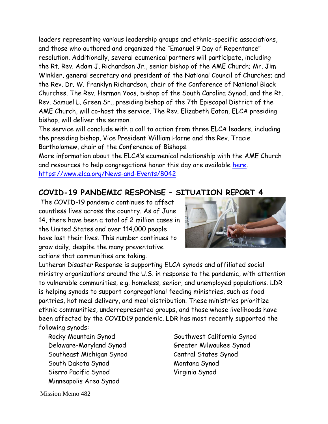leaders representing various leadership groups and ethnic-specific associations, and those who authored and organized the "Emanuel 9 Day of Repentance" resolution. Additionally, several ecumenical partners will participate, including the Rt. Rev. Adam J. Richardson Jr., senior bishop of the AME Church; Mr. Jim Winkler, general secretary and president of the National Council of Churches; and the Rev. Dr. W. Franklyn Richardson, chair of the Conference of National Black Churches. The Rev. Herman Yoos, bishop of the South Carolina Synod, and the Rt. Rev. Samuel L. Green Sr., presiding bishop of the 7th Episcopal District of the AME Church, will co-host the service. The Rev. Elizabeth Eaton, ELCA presiding bishop, will deliver the sermon.

The service will conclude with a call to action from three ELCA leaders, including the presiding bishop, Vice President William Horne and the Rev. Tracie Bartholomew, chair of the Conference of Bishops.

More information about the ELCA's ecumenical relationship with the AME Church and resources to help congregations honor this day are available [here.](https://elca.org/EmanuelNine) <https://www.elca.org/News-and-Events/8042>

#### **COVID-19 PANDEMIC RESPONSE – SITUATION REPORT 4**

The COVID-19 pandemic continues to affect countless lives across the country. As of June 14, there have been a total of 2 million cases in the United States and over 114,000 people have lost their lives. This number continues to grow daily, despite the many preventative actions that communities are taking.



Lutheran Disaster Response is supporting ELCA synods and affiliated social ministry organizations around the U.S. in response to the pandemic, with attention to vulnerable communities, e.g. homeless, senior, and unemployed populations. LDR is helping synods to support congregational feeding ministries, such as food pantries, hot meal delivery, and meal distribution. These ministries prioritize ethnic communities, underrepresented groups, and those whose livelihoods have been affected by the COVID19 pandemic. LDR has most recently supported the following synods:

- Delaware-Maryland Synod Greater Milwaukee Synod Southeast Michigan Synod Central States Synod South Dakota Synod Montana Synod Sierra Pacific Synod Virginia Synod Minneapolis Area Synod
- Rocky Mountain Synod Southwest California Synod

Mission Memo 482